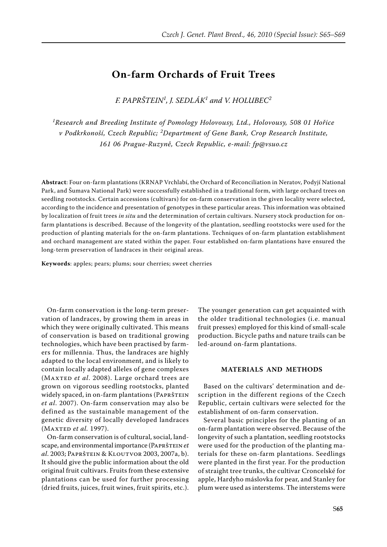# **On-farm Orchards of Fruit Trees**

*F. Paprštein<sup>1</sup> , J. Sedlák<sup>1</sup> and V. Holubec<sup>2</sup>*

*1 Research and Breeding Institute of Pomology Holovousy, Ltd., Holovousy, 508 01 Hořice v Podkrkonoší, Czech Republic; <sup>2</sup> Department of Gene Bank, Crop Research Institute, 161 06 Prague-Ruzyně, Czech Republic, e-mail: fp@vsuo.cz*

**Abstract**: Four on-farm plantations (KRNAP Vrchlabí, the Orchard of Reconciliation in Neratov, Podyjí National Park, and Šumava National Park) were successfully established in a traditional form, with large orchard trees on seedling rootstocks. Certain accessions (cultivars) for on-farm conservation in the given locality were selected, according to the incidence and presentation of genotypes in these particular areas. This information was obtained by localization of fruit trees *in situ* and the determination of certain cultivars. Nursery stock production for onfarm plantations is described. Because of the longevity of the plantation, seedling rootstocks were used for the production of planting materials for the on-farm plantations. Techniques of on-farm plantation establishment and orchard management are stated within the paper. Four established on-farm plantations have ensured the long-term preservation of landraces in their original areas.

**Keywords**: apples; pears; plums; sour cherries; sweet cherries

On-farm conservation is the long-term preservation of landraces, by growing them in areas in which they were originally cultivated. This means of conservation is based on traditional growing technologies, which have been practised by farmers for millennia. Thus, the landraces are highly adapted to the local environment, and is likely to contain locally adapted alleles of gene complexes (MAXTED et al. 2008). Large orchard trees are grown on vigorous seedling rootstocks, planted widely spaced, in on-farm plantations (PAPRŠTEIN *et al*. 2007). On-farm conservation may also be defined as the sustainable management of the genetic diversity of locally developed landraces (Maxted *et al.* 1997).

On-farm conservation is of cultural, social, landscape, and environmental importance (Paprštein *et al*. 2003; Paprštein & Kloutvor 2003, 2007a, b). It should give the public information about the old original fruit cultivars. Fruits from these extensive plantations can be used for further processing (dried fruits, juices, fruit wines, fruit spirits, etc.).

The younger generation can get acquainted with the older traditional technologies (i.e. manual fruit presses) employed for this kind of small-scale production. Bicycle paths and nature trails can be led-around on-farm plantations.

# **MATERIALS AND METHODS**

Based on the cultivars' determination and description in the different regions of the Czech Republic, certain cultivars were selected for the establishment of on-farm conservation.

Several basic principles for the planting of an on-farm plantation were observed. Because of the longevity of such a plantation, seedling rootstocks were used for the production of the planting materials for these on-farm plantations. Seedlings were planted in the first year. For the production of straight tree trunks, the cultivar Croncelské for apple, Hardyho máslovka for pear, and Stanley for plum were used as interstems. The interstems were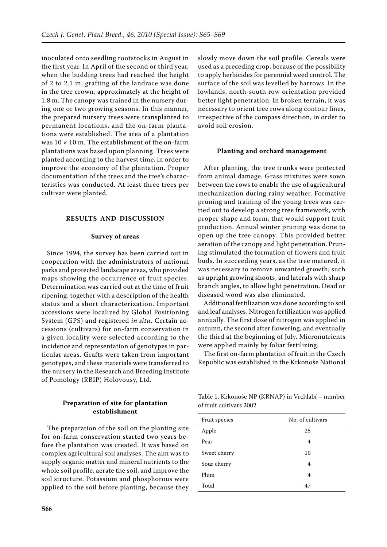inoculated onto seedling rootstocks in August in the first year. In April of the second or third year, when the budding trees had reached the height of 2 to 2.1 m, grafting of the landrace was done in the tree crown, approximately at the height of 1.8 m. The canopy was trained in the nursery during one or two growing seasons. In this manner, the prepared nursery trees were transplanted to permanent locations, and the on-farm plantations were established. The area of a plantation was  $10 \times 10$  m. The establishment of the on-farm plantations was based upon planning. Trees were planted according to the harvest time, in order to improve the economy of the plantation. Proper documentation of the trees and the tree's characteristics was conducted. At least three trees per cultivar were planted.

## **RESULTS AND DISCUSSION**

#### **Survey of areas**

Since 1994, the survey has been carried out in cooperation with the administrators of national parks and protected landscape areas, who provided maps showing the occurrence of fruit species. Determination was carried out at the time of fruit ripening, together with a description of the health status and a short characterization. Important accessions were localized by Global Positioning System (GPS) and registered *in situ*. Certain accessions (cultivars) for on-farm conservation in a given locality were selected according to the incidence and representation of genotypes in particular areas. Grafts were taken from important genotypes, and these materials were transferred to the nursery in the Research and Breeding Institute of Pomology (RBIP) Holovousy, Ltd.

# **Preparation of site for plantation establishment**

The preparation of the soil on the planting site for on-farm conservation started two years before the plantation was created. It was based on complex agricultural soil analyses. The aim was to supply organic matter and mineral nutrients to the whole soil profile, aerate the soil, and improve the soil structure. Potassium and phosphorous were applied to the soil before planting, because they

slowly move down the soil profile. Cereals were used as a preceding crop, because of the possibility to apply herbicides for perennial weed control. The surface of the soil was levelled by harrows. In the lowlands, north-south row orientation provided better light penetration. In broken terrain, it was necessary to orient tree rows along contour lines, irrespective of the compass direction, in order to avoid soil erosion.

#### **Planting and orchard management**

After planting, the tree trunks were protected from animal damage. Grass mixtures were sown between the rows to enable the use of agricultural mechanization during rainy weather. Formative pruning and training of the young trees was carried out to develop a strong tree framework, with proper shape and form, that would support fruit production. Annual winter pruning was done to open up the tree canopy. This provided better aeration of the canopy and light penetration. Pruning stimulated the formation of flowers and fruit buds. In succeeding years, as the tree matured, it was necessary to remove unwanted growth; such as upright growing shoots, and laterals with sharp branch angles, to allow light penetration. Dead or diseased wood was also eliminated.

Additional fertilization was done according to soil and leaf analyses. Nitrogen fertilization was applied annually. The first dose of nitrogen was applied in autumn, the second after flowering, and eventually the third at the beginning of July. Micronutrients were applied mainly by foliar fertilizing.

The first on-farm plantation of fruit in the Czech Republic was established in the Krkonoše National

Table 1. Krkonoše NP (KRNAP) in Vrchlabí – number of fruit cultivars 2002

| Fruit species | No. of cultivars |
|---------------|------------------|
| Apple         | 25               |
| Pear          | 4                |
| Sweet cherry  | 10               |
| Sour cherry   | 4                |
| Plum          | 4                |
| Total         | 47               |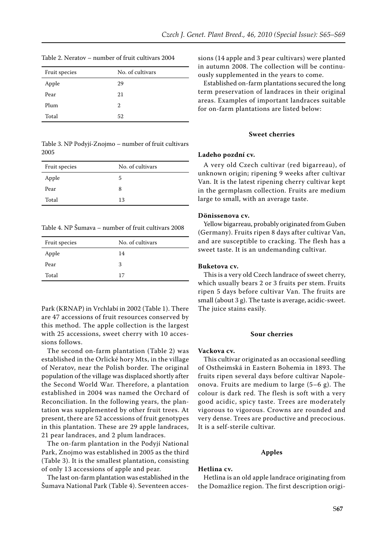Table 2. Neratov – number of fruit cultivars 2004

| Fruit species | No. of cultivars |
|---------------|------------------|
| Apple         | 29               |
| Pear          | 21               |
| Plum          | $\mathfrak{D}$   |
| Total         | 52               |

Table 3. NP Podyjí-Znojmo – number of fruit cultivars 2005

| Fruit species | No. of cultivars |
|---------------|------------------|
| Apple         | 5                |
| Pear          | 8                |
| Total         | 13               |

Table 4. NP Šumava – number of fruit cultivars 2008

| Fruit species | No. of cultivars |
|---------------|------------------|
| Apple         | 14               |
| Pear          | 3                |
| Total         | 17               |

Park (KRNAP) in Vrchlabí in 2002 (Table 1). There are 47 accessions of fruit resources conserved by this method. The apple collection is the largest with 25 accessions, sweet cherry with 10 accessions follows.

The second on-farm plantation (Table 2) was established in the Orlické hory Mts, in the village of Neratov, near the Polish border. The original population of the village was displaced shortly after the Second World War. Therefore, a plantation established in 2004 was named the Orchard of Reconciliation. In the following years, the plantation was supplemented by other fruit trees. At present, there are 52 accessions of fruit genotypes in this plantation. These are 29 apple landraces, 21 pear landraces, and 2 plum landraces.

The on-farm plantation in the Podyjí National Park, Znojmo was established in 2005 as the third (Table 3). It is the smallest plantation, consisting of only 13 accessions of apple and pear.

The last on-farm plantation was established in the Šumava National Park (Table 4). Seventeen accessions (14 apple and 3 pear cultivars) were planted in autumn 2008. The collection will be continuously supplemented in the years to come.

Established on-farm plantations secured the long term preservation of landraces in their original areas. Examples of important landraces suitable for on-farm plantations are listed below:

## **Sweet cherries**

## **Ladeho pozdní cv.**

A very old Czech cultivar (red bigarreau), of unknown origin; ripening 9 weeks after cultivar Van. It is the latest ripening cherry cultivar kept in the germplasm collection. Fruits are medium large to small, with an average taste.

## **Dönissenova cv.**

Yellow bigarreau, probably originated from Guben (Germany). Fruits ripen 8 days after cultivar Van, and are susceptible to cracking. The flesh has a sweet taste. It is an undemanding cultivar.

# **Buketova cv.**

This is a very old Czech landrace of sweet cherry, which usually bears 2 or 3 fruits per stem. Fruits ripen 5 days before cultivar Van. The fruits are small (about 3 g). The taste is average, acidic-sweet. The juice stains easily.

### **Sour cherries**

## **Vackova cv.**

This cultivar originated as an occasional seedling of Ostheimská in Eastern Bohemia in 1893. The fruits ripen several days before cultivar Napoleonova. Fruits are medium to large (5–6 g). The colour is dark red. The flesh is soft with a very good acidic, spicy taste. Trees are moderately vigorous to vigorous. Crowns are rounded and very dense. Trees are productive and precocious. It is a self-sterile cultivar.

## **Apples**

# **Hetlina cv.**

Hetlina is an old apple landrace originating from the Domažlice region. The first description origi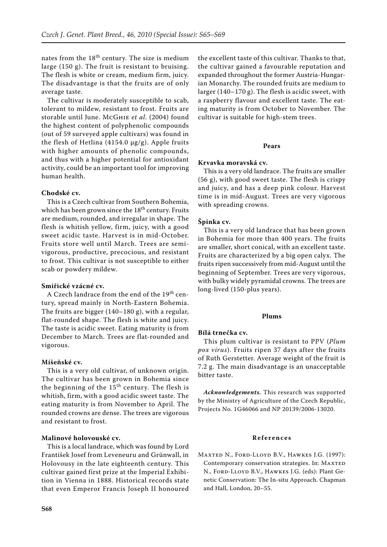nates from the 18<sup>th</sup> century. The size is medium large (150 g). The fruit is resistant to bruising. The flesh is white or cream, medium firm, juicy. The disadvantage is that the fruits are of only average taste.

The cultivar is moderately susceptible to scab, tolerant to mildew, resistant to frost. Fruits are storable until June. McGhie *et al*. (2004) found the highest content of polyphenolic compounds (out of 59 surveyed apple cultivars) was found in the flesh of Hetlina (4154.0  $\mu$ g/g). Apple fruits with higher amounts of phenolic compounds, and thus with a higher potential for antioxidant activity, could be an important tool for improving human health.

## **Chodské cv.**

This is a Czech cultivar from Southern Bohemia, which has been grown since the  $18^{\rm th}$  century. Fruits are medium, rounded, and irregular in shape. The flesh is whitish yellow, firm, juicy, with a good sweet acidic taste. Harvest is in mid-October. Fruits store well until March. Trees are semivigorous, productive, precocious, and resistant to frost. This cultivar is not susceptible to either scab or powdery mildew.

#### **Smiřické vzácné cv.**

A Czech landrace from the end of the 19th century, spread mainly in North-Eastern Bohemia. The fruits are bigger (140–180 g), with a regular, flat-rounded shape. The flesh is white and juicy. The taste is acidic sweet. Eating maturity is from December to March. Trees are flat-rounded and vigorous.

#### **Míšeňské cv.**

This is a very old cultivar, of unknown origin. The cultivar has been grown in Bohemia since the beginning of the  $15<sup>th</sup>$  century. The flesh is whitish, firm, with a good acidic sweet taste. The eating maturity is from November to April. The rounded crowns are dense. The trees are vigorous and resistant to frost.

# **Malinové holovouské cv.**

This is a local landrace, which was found by Lord František Josef from Leveneuru and Grünwall, in Holovousy in the late eighteenth century. This cultivar gained first prize at the Imperial Exhibition in Vienna in 1888. Historical records state that even Emperor Francis Joseph II honoured

the excellent taste of this cultivar. Thanks to that, the cultivar gained a favourable reputation and expanded throughout the former Austria-Hungarian Monarchy. The rounded fruits are medium to larger (140–170 g). The flesh is acidic sweet, with a raspberry flavour and excellent taste. The eating maturity is from October to November. The cultivar is suitable for high-stem trees.

## **Pears**

## **Krvavka moravská cv.**

This is a very old landrace. The fruits are smaller (56 g), with good sweet taste. The flesh is crispy and juicy, and has a deep pink colour. Harvest time is in mid-August. Trees are very vigorous with spreading crowns.

#### **Špinka cv.**

This is a very old landrace that has been grown in Bohemia for more than 400 years. The fruits are smaller, short conical, with an excellent taste. Fruits are characterized by a big open calyx. The fruits ripen successively from mid-August until the beginning of September. Trees are very vigorous, with bulky widely pyramidal crowns. The trees are long-lived (150-plus years).

## **Plums**

## **Bílá trnečka cv.**

This plum cultivar is resistant to PPV (*Plum pox virus*). Fruits ripen 37 days after the fruits of Ruth Gerstetter. Average weight of the fruit is 7.2 g. The main disadvantage is an unacceptable bitter taste.

*Acknowledgements.* This research was supported by the Ministry of Agriculture of the Czech Republic, Projects No. 1G46066 and NP 20139/2006-13020.

## **R e f e r e n c e s**

Maxted N., Ford-Lloyd B.V., Hawkes J.G. (1997): Contemporary conservation strategies. In: MAXTED N., FORD-LLOYD B.V., HAWKES J.G. (eds): Plant Genetic Conservation: The In-situ Approach. Chapman and Hall, London, 20–55.